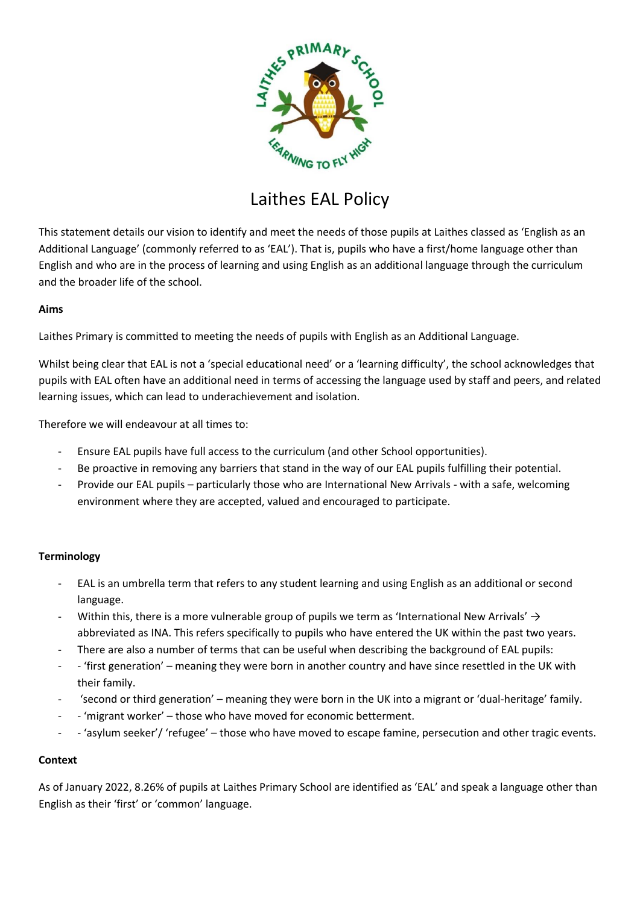

# Laithes EAL Policy

This statement details our vision to identify and meet the needs of those pupils at Laithes classed as 'English as an Additional Language' (commonly referred to as 'EAL'). That is, pupils who have a first/home language other than English and who are in the process of learning and using English as an additional language through the curriculum and the broader life of the school.

## **Aims**

Laithes Primary is committed to meeting the needs of pupils with English as an Additional Language.

Whilst being clear that EAL is not a 'special educational need' or a 'learning difficulty', the school acknowledges that pupils with EAL often have an additional need in terms of accessing the language used by staff and peers, and related learning issues, which can lead to underachievement and isolation.

Therefore we will endeavour at all times to:

- Ensure EAL pupils have full access to the curriculum (and other School opportunities).
- Be proactive in removing any barriers that stand in the way of our EAL pupils fulfilling their potential.
- Provide our EAL pupils particularly those who are International New Arrivals with a safe, welcoming environment where they are accepted, valued and encouraged to participate.

# **Terminology**

- EAL is an umbrella term that refers to any student learning and using English as an additional or second language.
- Within this, there is a more vulnerable group of pupils we term as 'International New Arrivals'  $\rightarrow$ abbreviated as INA. This refers specifically to pupils who have entered the UK within the past two years.
- There are also a number of terms that can be useful when describing the background of EAL pupils:
- - 'first generation' meaning they were born in another country and have since resettled in the UK with their family.
- 'second or third generation' meaning they were born in the UK into a migrant or 'dual-heritage' family.
- - 'migrant worker' those who have moved for economic betterment.
- - 'asylum seeker'/ 'refugee' those who have moved to escape famine, persecution and other tragic events.

## **Context**

As of January 2022, 8.26% of pupils at Laithes Primary School are identified as 'EAL' and speak a language other than English as their 'first' or 'common' language.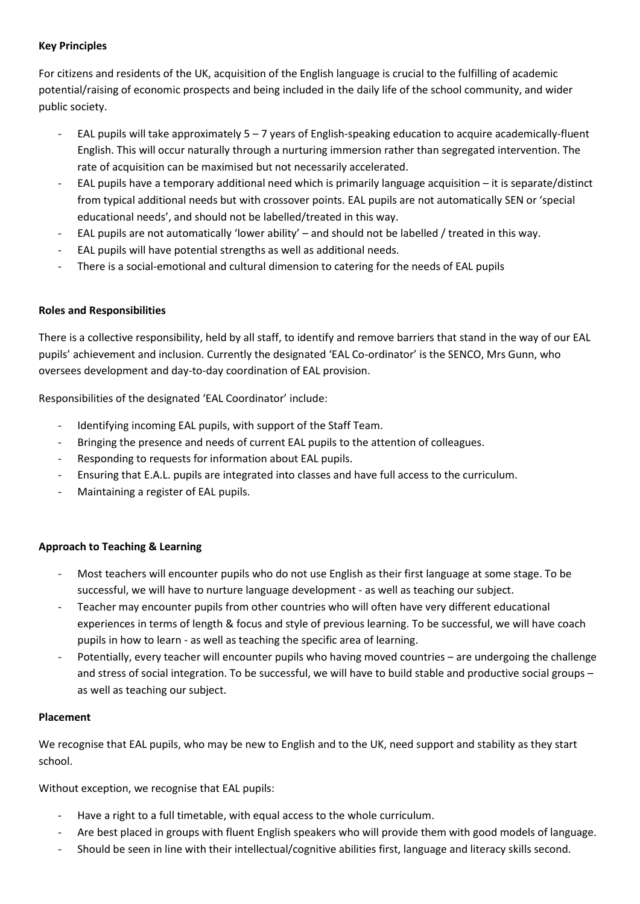# **Key Principles**

For citizens and residents of the UK, acquisition of the English language is crucial to the fulfilling of academic potential/raising of economic prospects and being included in the daily life of the school community, and wider public society.

- EAL pupils will take approximately  $5 7$  years of English-speaking education to acquire academically-fluent English. This will occur naturally through a nurturing immersion rather than segregated intervention. The rate of acquisition can be maximised but not necessarily accelerated.
- EAL pupils have a temporary additional need which is primarily language acquisition it is separate/distinct from typical additional needs but with crossover points. EAL pupils are not automatically SEN or 'special educational needs', and should not be labelled/treated in this way.
- EAL pupils are not automatically 'lower ability' and should not be labelled / treated in this way.
- EAL pupils will have potential strengths as well as additional needs.
- There is a social-emotional and cultural dimension to catering for the needs of EAL pupils

# **Roles and Responsibilities**

There is a collective responsibility, held by all staff, to identify and remove barriers that stand in the way of our EAL pupils' achievement and inclusion. Currently the designated 'EAL Co-ordinator' is the SENCO, Mrs Gunn, who oversees development and day-to-day coordination of EAL provision.

Responsibilities of the designated 'EAL Coordinator' include:

- Identifying incoming EAL pupils, with support of the Staff Team.
- Bringing the presence and needs of current EAL pupils to the attention of colleagues.
- Responding to requests for information about EAL pupils.
- Ensuring that E.A.L. pupils are integrated into classes and have full access to the curriculum.
- Maintaining a register of EAL pupils.

# **Approach to Teaching & Learning**

- Most teachers will encounter pupils who do not use English as their first language at some stage. To be successful, we will have to nurture language development - as well as teaching our subject.
- Teacher may encounter pupils from other countries who will often have very different educational experiences in terms of length & focus and style of previous learning. To be successful, we will have coach pupils in how to learn - as well as teaching the specific area of learning.
- Potentially, every teacher will encounter pupils who having moved countries are undergoing the challenge and stress of social integration. To be successful, we will have to build stable and productive social groups – as well as teaching our subject.

## **Placement**

We recognise that EAL pupils, who may be new to English and to the UK, need support and stability as they start school.

Without exception, we recognise that EAL pupils:

- Have a right to a full timetable, with equal access to the whole curriculum.
- Are best placed in groups with fluent English speakers who will provide them with good models of language.
- Should be seen in line with their intellectual/cognitive abilities first, language and literacy skills second.